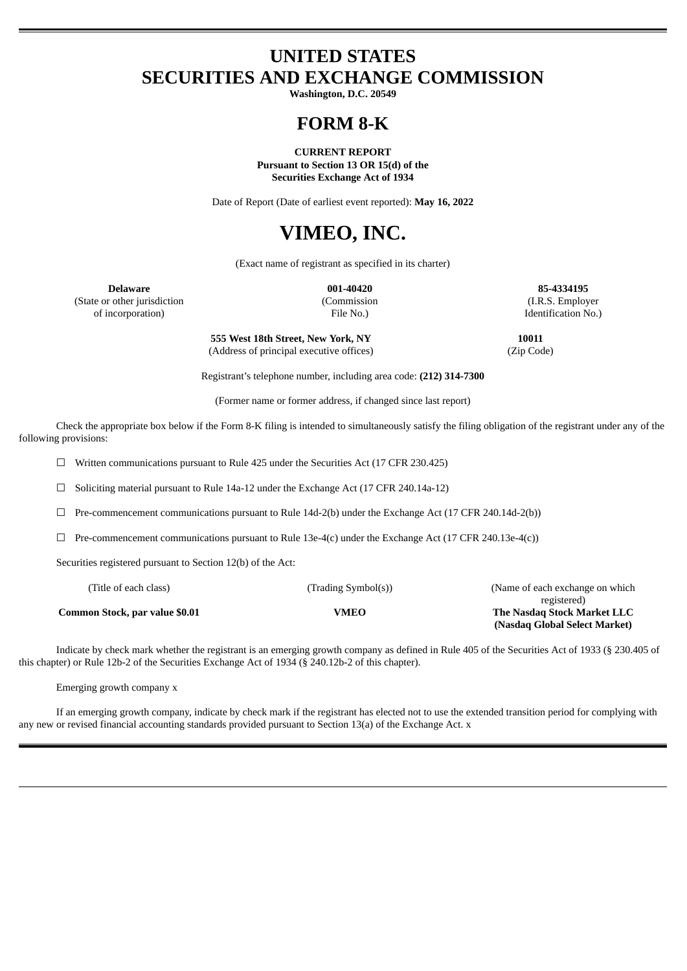# **UNITED STATES SECURITIES AND EXCHANGE COMMISSION**

**Washington, D.C. 20549**

# **FORM 8-K**

**CURRENT REPORT Pursuant to Section 13 OR 15(d) of the**

**Securities Exchange Act of 1934**

Date of Report (Date of earliest event reported): **May 16, 2022**

# **VIMEO, INC.**

(Exact name of registrant as specified in its charter)

**Delaware 001-40420 85-4334195** (State or other jurisdiction (Commission (I.R.S. Employer of incorporation) File No.) Identification No.)

> **555 West 18th Street, New York, NY 10011** (Address of principal executive offices) (Zip Code)

Registrant's telephone number, including area code: **(212) 314-7300**

(Former name or former address, if changed since last report)

Check the appropriate box below if the Form 8-K filing is intended to simultaneously satisfy the filing obligation of the registrant under any of the following provisions:

 $\Box$  Written communications pursuant to Rule 425 under the Securities Act (17 CFR 230.425)

☐ Soliciting material pursuant to Rule 14a-12 under the Exchange Act (17 CFR 240.14a-12)

 $\Box$  Pre-commencement communications pursuant to Rule 14d-2(b) under the Exchange Act (17 CFR 240.14d-2(b))

 $\Box$  Pre-commencement communications pursuant to Rule 13e-4(c) under the Exchange Act (17 CFR 240.13e-4(c))

Securities registered pursuant to Section 12(b) of the Act:

| (Title of each class)          | (Trading Symbol(s)) | (Name of each exchange on which |  |  |  |  |  |
|--------------------------------|---------------------|---------------------------------|--|--|--|--|--|
|                                |                     | registered)                     |  |  |  |  |  |
| Common Stock, par value \$0.01 | VMEO                | The Nasdag Stock Market LLC     |  |  |  |  |  |
|                                |                     | (Nasdag Global Select Market)   |  |  |  |  |  |

Indicate by check mark whether the registrant is an emerging growth company as defined in Rule 405 of the Securities Act of 1933 (§ 230.405 of this chapter) or Rule 12b-2 of the Securities Exchange Act of 1934 (§ 240.12b-2 of this chapter).

Emerging growth company x

If an emerging growth company, indicate by check mark if the registrant has elected not to use the extended transition period for complying with any new or revised financial accounting standards provided pursuant to Section 13(a) of the Exchange Act. x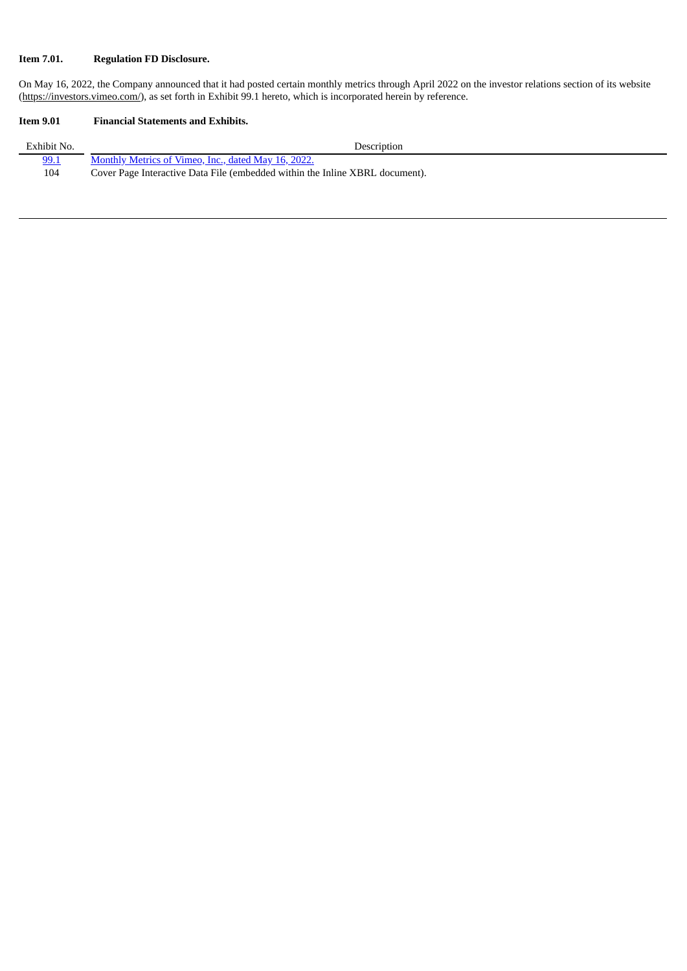## **Item 7.01. Regulation FD Disclosure.**

On May 16, 2022, the Company announced that it had posted certain monthly metrics through April 2022 on the investor relations section of its website (https://investors.vimeo.com/), as set forth in Exhibit 99.1 hereto, which is incorporated herein by reference.

## **Item 9.01 Financial Statements and Exhibits.**

| Exhibit No. | Description                                                                  |
|-------------|------------------------------------------------------------------------------|
| 99.1        | Monthly Metrics of Vimeo, Inc., dated May 16, 2022.                          |
| 104         | Cover Page Interactive Data File (embedded within the Inline XBRL document). |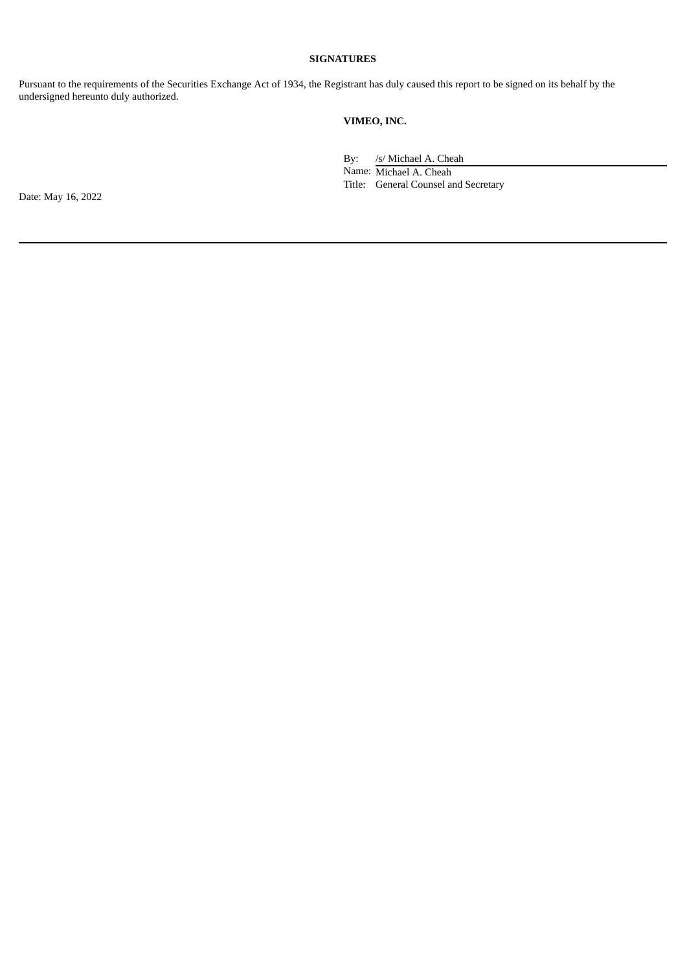#### **SIGNATURES**

Pursuant to the requirements of the Securities Exchange Act of 1934, the Registrant has duly caused this report to be signed on its behalf by the undersigned hereunto duly authorized.

## **VIMEO, INC.**

By: /s/ Michael A. Cheah Name: Michael A. Cheah Title: General Counsel and Secretary

Date: May 16, 2022